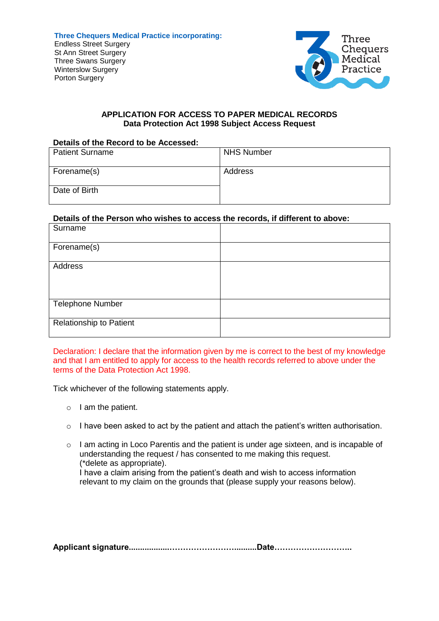

## **APPLICATION FOR ACCESS TO PAPER MEDICAL RECORDS Data Protection Act 1998 Subject Access Request**

### **Details of the Record to be Accessed:**

| <b>Patient Surname</b> | <b>NHS Number</b> |
|------------------------|-------------------|
| Forename(s)            | Address           |
| Date of Birth          |                   |

## **Details of the Person who wishes to access the records, if different to above:**

| Surname                        |  |
|--------------------------------|--|
| Forename(s)                    |  |
| Address                        |  |
|                                |  |
| <b>Telephone Number</b>        |  |
| <b>Relationship to Patient</b> |  |

Declaration: I declare that the information given by me is correct to the best of my knowledge and that I am entitled to apply for access to the health records referred to above under the terms of the Data Protection Act 1998.

Tick whichever of the following statements apply.

- $\circ$  I am the patient.
- o I have been asked to act by the patient and attach the patient's written authorisation.
- o I am acting in Loco Parentis and the patient is under age sixteen, and is incapable of understanding the request / has consented to me making this request. (\*delete as appropriate). I have a claim arising from the patient's death and wish to access information relevant to my claim on the grounds that (please supply your reasons below).

**Applicant signature..................……………………..........Date………………………..**